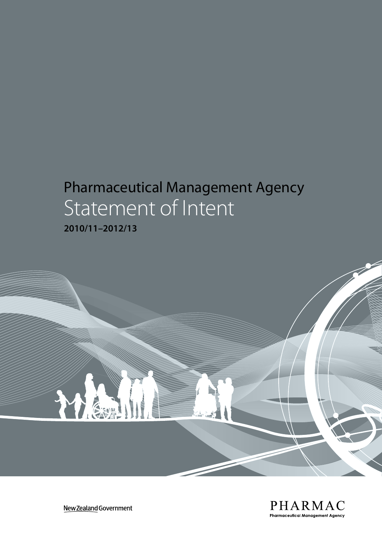# Pharmaceutical Management Agency Statement of Intent

**2010/11–2012/13**



New Zealand Government

THE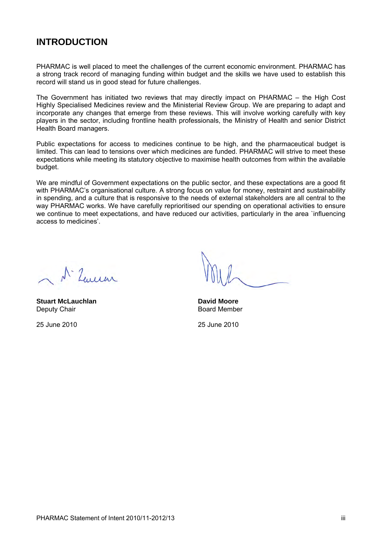### **INTRODUCTION**

PHARMAC is well placed to meet the challenges of the current economic environment. PHARMAC has a strong track record of managing funding within budget and the skills we have used to establish this record will stand us in good stead for future challenges.

The Government has initiated two reviews that may directly impact on PHARMAC – the High Cost Highly Specialised Medicines review and the Ministerial Review Group. We are preparing to adapt and incorporate any changes that emerge from these reviews. This will involve working carefully with key players in the sector, including frontline health professionals, the Ministry of Health and senior District Health Board managers.

Public expectations for access to medicines continue to be high, and the pharmaceutical budget is limited. This can lead to tensions over which medicines are funded. PHARMAC will strive to meet these expectations while meeting its statutory objective to maximise health outcomes from within the available budget.

We are mindful of Government expectations on the public sector, and these expectations are a good fit with PHARMAC's organisational culture. A strong focus on value for money, restraint and sustainability in spending, and a culture that is responsive to the needs of external stakeholders are all central to the way PHARMAC works. We have carefully reprioritised our spending on operational activities to ensure we continue to meet expectations, and have reduced our activities, particularly in the area `influencing access to medicines'.

Nº Luisar

**Stuart McLauchlan Communist Communist Communist Communist Communist Communist Communist Communist Communist Communist Communist Communist Communist Communist Communist Communist Communist Communist Communist Communist Com** Deputy Chair **Board Member** Board Member

25 June 2010 25 June 2010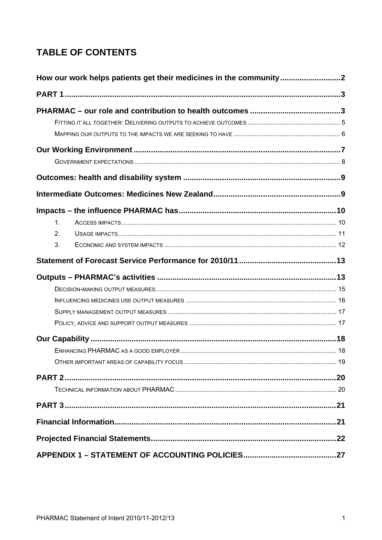# **TABLE OF CONTENTS**

| How our work helps patients get their medicines in the community |  |
|------------------------------------------------------------------|--|
|                                                                  |  |
|                                                                  |  |
|                                                                  |  |
|                                                                  |  |
|                                                                  |  |
|                                                                  |  |
|                                                                  |  |
|                                                                  |  |
|                                                                  |  |
| 1.                                                               |  |
| 2.                                                               |  |
| 3.                                                               |  |
|                                                                  |  |
|                                                                  |  |
|                                                                  |  |
|                                                                  |  |
|                                                                  |  |
|                                                                  |  |
|                                                                  |  |
|                                                                  |  |
|                                                                  |  |
|                                                                  |  |
|                                                                  |  |
|                                                                  |  |
|                                                                  |  |
|                                                                  |  |
|                                                                  |  |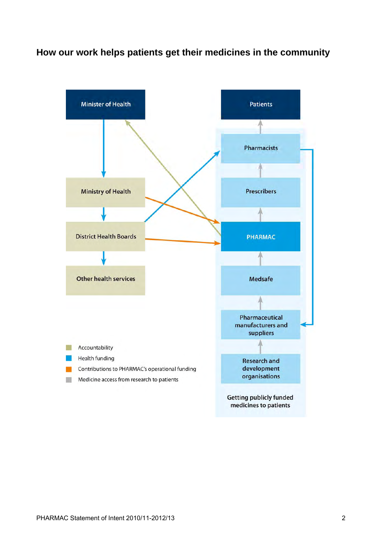### **How our work helps patients get their medicines in the community**

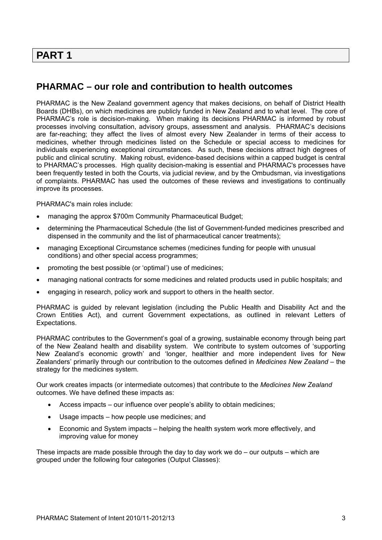### **PART 1**

### **PHARMAC – our role and contribution to health outcomes**

PHARMAC is the New Zealand government agency that makes decisions, on behalf of District Health Boards (DHBs), on which medicines are publicly funded in New Zealand and to what level. The core of PHARMAC's role is decision-making. When making its decisions PHARMAC is informed by robust processes involving consultation, advisory groups, assessment and analysis. PHARMAC's decisions are far-reaching; they affect the lives of almost every New Zealander in terms of their access to medicines, whether through medicines listed on the Schedule or special access to medicines for individuals experiencing exceptional circumstances. As such, these decisions attract high degrees of public and clinical scrutiny. Making robust, evidence-based decisions within a capped budget is central to PHARMAC's processes. High quality decision-making is essential and PHARMAC's processes have been frequently tested in both the Courts, via judicial review, and by the Ombudsman, via investigations of complaints. PHARMAC has used the outcomes of these reviews and investigations to continually improve its processes.

PHARMAC's main roles include:

- managing the approx \$700m Community Pharmaceutical Budget;
- determining the Pharmaceutical Schedule (the list of Government-funded medicines prescribed and dispensed in the community and the list of pharmaceutical cancer treatments);
- managing Exceptional Circumstance schemes (medicines funding for people with unusual conditions) and other special access programmes;
- promoting the best possible (or 'optimal') use of medicines;
- managing national contracts for some medicines and related products used in public hospitals; and
- engaging in research, policy work and support to others in the health sector.

PHARMAC is guided by relevant legislation (including the Public Health and Disability Act and the Crown Entities Act), and current Government expectations, as outlined in relevant Letters of Expectations.

PHARMAC contributes to the Government's goal of a growing, sustainable economy through being part of the New Zealand health and disability system. We contribute to system outcomes of 'supporting New Zealand's economic growth' and 'longer, healthier and more independent lives for New Zealanders' primarily through our contribution to the outcomes defined in *Medicines New Zealand* – the strategy for the medicines system.

Our work creates impacts (or intermediate outcomes) that contribute to the *Medicines New Zealand* outcomes. We have defined these impacts as:

- Access impacts our influence over people's ability to obtain medicines;
- Usage impacts how people use medicines; and
- Economic and System impacts helping the health system work more effectively, and improving value for money

These impacts are made possible through the day to day work we do  $-$  our outputs  $-$  which are grouped under the following four categories (Output Classes):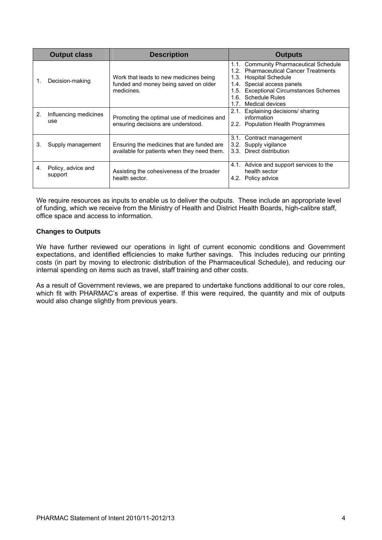|    | <b>Output class</b>           | <b>Description</b>                                                                            | <b>Outputs</b>                                                                                                                                                                                                                                |
|----|-------------------------------|-----------------------------------------------------------------------------------------------|-----------------------------------------------------------------------------------------------------------------------------------------------------------------------------------------------------------------------------------------------|
|    | Decision-making               | Work that leads to new medicines being<br>funded and money being saved on older<br>medicines. | 1.1. Community Pharmaceutical Schedule<br>1.2. Pharmaceutical Cancer Treatments<br>1.3. Hospital Schedule<br>1.4. Special access panels<br>1.5. Exceptional Circumstances Schemes<br><b>Schedule Rules</b><br>1.6.<br>Medical devices<br>1.7. |
| 2. | Influencing medicines<br>use  | Promoting the optimal use of medicines and<br>ensuring decisions are understood.              | Explaining decisions/ sharing<br>2.1.<br>information<br>2.2. Population Health Programmes                                                                                                                                                     |
| 3. | Supply management             | Ensuring the medicines that are funded are<br>available for patients when they need them.     | 3.1.<br>Contract management<br>3.2. Supply vigilance<br>3.3. Direct distribution                                                                                                                                                              |
| 4. | Policy, advice and<br>support | Assisting the cohesiveness of the broader<br>health sector.                                   | 4.1. Advice and support services to the<br>health sector<br>4.2. Policy advice                                                                                                                                                                |

We require resources as inputs to enable us to deliver the outputs. These include an appropriate level of funding, which we receive from the Ministry of Health and District Health Boards, high-calibre staff, office space and access to information.

#### **Changes to Outputs**

We have further reviewed our operations in light of current economic conditions and Government expectations, and identified efficiencies to make further savings. This includes reducing our printing costs (in part by moving to electronic distribution of the Pharmaceutical Schedule), and reducing our internal spending on items such as travel, staff training and other costs.

As a result of Government reviews, we are prepared to undertake functions additional to our core roles, which fit with PHARMAC's areas of expertise. If this were required, the quantity and mix of outputs would also change slightly from previous years.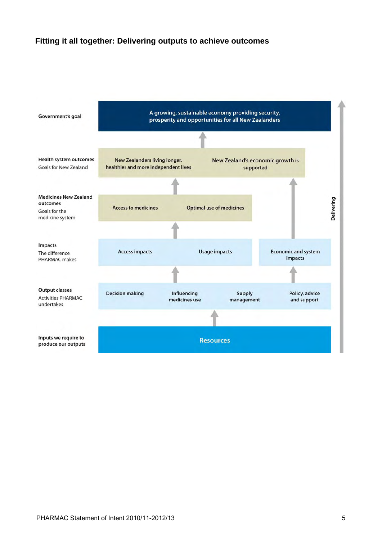### **Fitting it all together: Delivering outputs to achieve outcomes**

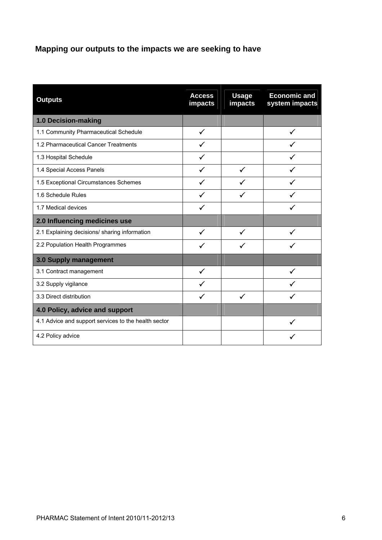### **Mapping our outputs to the impacts we are seeking to have**

| <b>Outputs</b>                                       | <b>Access</b><br>impacts | <b>Usage</b><br>impacts | <b>Economic and</b><br>system impacts |
|------------------------------------------------------|--------------------------|-------------------------|---------------------------------------|
| 1.0 Decision-making                                  |                          |                         |                                       |
| 1.1 Community Pharmaceutical Schedule                | ✓                        |                         |                                       |
| 1.2 Pharmaceutical Cancer Treatments                 |                          |                         |                                       |
| 1.3 Hospital Schedule                                |                          |                         |                                       |
| 1.4 Special Access Panels                            |                          | ✓                       |                                       |
| 1.5 Exceptional Circumstances Schemes                | ✓                        | ✓                       |                                       |
| 1.6 Schedule Rules                                   |                          |                         |                                       |
| 1.7 Medical devices                                  |                          |                         |                                       |
| 2.0 Influencing medicines use                        |                          |                         |                                       |
| 2.1 Explaining decisions/ sharing information        | ✓                        | ✓                       |                                       |
| 2.2 Population Health Programmes                     |                          |                         |                                       |
| 3.0 Supply management                                |                          |                         |                                       |
| 3.1 Contract management                              |                          |                         |                                       |
| 3.2 Supply vigilance                                 |                          |                         |                                       |
| 3.3 Direct distribution                              |                          | ✓                       |                                       |
| 4.0 Policy, advice and support                       |                          |                         |                                       |
| 4.1 Advice and support services to the health sector |                          |                         | ✓                                     |
| 4.2 Policy advice                                    |                          |                         |                                       |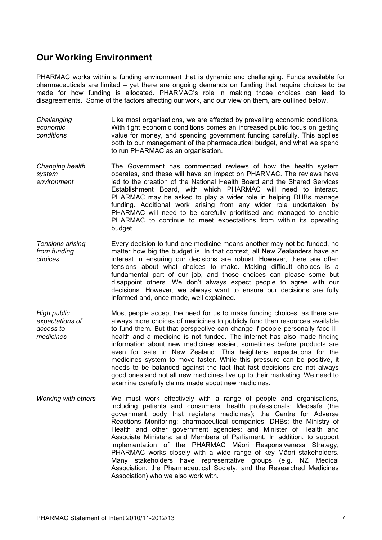### **Our Working Environment**

PHARMAC works within a funding environment that is dynamic and challenging. Funds available for pharmaceuticals are limited – yet there are ongoing demands on funding that require choices to be made for how funding is allocated. PHARMAC's role in making those choices can lead to disagreements. Some of the factors affecting our work, and our view on them, are outlined below.

- *Challenging economic conditions*  Like most organisations, we are affected by prevailing economic conditions. With tight economic conditions comes an increased public focus on getting value for money, and spending government funding carefully. This applies both to our management of the pharmaceutical budget, and what we spend to run PHARMAC as an organisation.
- *Changing health system environment*  The Government has commenced reviews of how the health system operates, and these will have an impact on PHARMAC. The reviews have led to the creation of the National Health Board and the Shared Services Establishment Board, with which PHARMAC will need to interact. PHARMAC may be asked to play a wider role in helping DHBs manage funding. Additional work arising from any wider role undertaken by PHARMAC will need to be carefully prioritised and managed to enable PHARMAC to continue to meet expectations from within its operating budget.
- *Tensions arising from funding choices*  Every decision to fund one medicine means another may not be funded, no matter how big the budget is. In that context, all New Zealanders have an interest in ensuring our decisions are robust. However, there are often tensions about what choices to make. Making difficult choices is a fundamental part of our job, and those choices can please some but disappoint others. We don't always expect people to agree with our decisions. However, we always want to ensure our decisions are fully informed and, once made, well explained.
- *High public expectations of access to medicines*  Most people accept the need for us to make funding choices, as there are always more choices of medicines to publicly fund than resources available to fund them. But that perspective can change if people personally face illhealth and a medicine is not funded. The internet has also made finding information about new medicines easier, sometimes before products are even for sale in New Zealand. This heightens expectations for the medicines system to move faster. While this pressure can be positive, it needs to be balanced against the fact that fast decisions are not always good ones and not all new medicines live up to their marketing. We need to examine carefully claims made about new medicines.
- *Working with others* We must work effectively with a range of people and organisations, including patients and consumers; health professionals; Medsafe (the government body that registers medicines); the Centre for Adverse Reactions Monitoring; pharmaceutical companies; DHBs; the Ministry of Health and other government agencies; and Minister of Health and Associate Ministers; and Members of Parliament. In addition, to support implementation of the PHARMAC Māori Responsiveness Strategy, PHARMAC works closely with a wide range of key Māori stakeholders. Many stakeholders have representative groups (e.g. NZ Medical Association, the Pharmaceutical Society, and the Researched Medicines Association) who we also work with.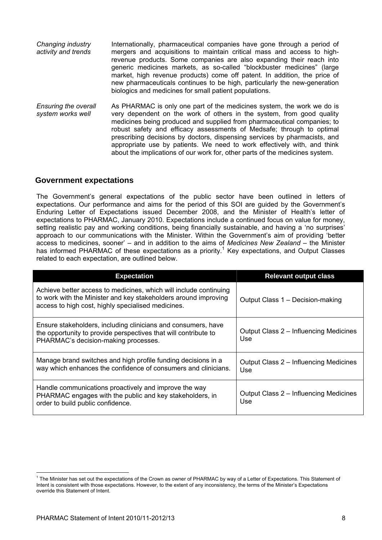| Changing industry<br>activity and trends         | Internationally, pharmaceutical companies have gone through a period of<br>mergers and acquisitions to maintain critical mass and access to high-<br>revenue products. Some companies are also expanding their reach into<br>generic medicines markets, as so-called "blockbuster medicines" (large<br>market, high revenue products) come off patent. In addition, the price of<br>new pharmaceuticals continues to be high, particularly the new-generation<br>biologics and medicines for small patient populations.                      |
|--------------------------------------------------|----------------------------------------------------------------------------------------------------------------------------------------------------------------------------------------------------------------------------------------------------------------------------------------------------------------------------------------------------------------------------------------------------------------------------------------------------------------------------------------------------------------------------------------------|
| <b>Ensuring the overall</b><br>system works well | As PHARMAC is only one part of the medicines system, the work we do is<br>very dependent on the work of others in the system, from good quality<br>medicines being produced and supplied from pharmaceutical companies; to<br>robust safety and efficacy assessments of Medsafe; through to optimal<br>prescribing decisions by doctors, dispensing services by pharmacists, and<br>appropriate use by patients. We need to work effectively with, and think<br>about the implications of our work for, other parts of the medicines system. |

#### **Government expectations**

The Government's general expectations of the public sector have been outlined in letters of expectations. Our performance and aims for the period of this SOI are guided by the Government's Enduring Letter of Expectations issued December 2008, and the Minister of Health's letter of expectations to PHARMAC, January 2010. Expectations include a continued focus on value for money, setting realistic pay and working conditions, being financially sustainable, and having a 'no surprises' approach to our communications with the Minister. Within the Government's aim of providing 'better access to medicines, sooner' – and in addition to the aims of *Medicines New Zealand* – the Minister has informed PHARMAC of these expectations as a priority.<sup>1</sup> Key expectations, and Output Classes related to each expectation, are outlined below.

| <b>Expectation</b>                                                                                                                                                                         | <b>Relevant output class</b>                  |
|--------------------------------------------------------------------------------------------------------------------------------------------------------------------------------------------|-----------------------------------------------|
| Achieve better access to medicines, which will include continuing<br>to work with the Minister and key stakeholders around improving<br>access to high cost, highly specialised medicines. | Output Class 1 - Decision-making              |
| Ensure stakeholders, including clinicians and consumers, have<br>the opportunity to provide perspectives that will contribute to<br>PHARMAC's decision-making processes.                   | Output Class 2 – Influencing Medicines<br>Use |
| Manage brand switches and high profile funding decisions in a<br>way which enhances the confidence of consumers and clinicians.                                                            | Output Class 2 – Influencing Medicines<br>Use |
| Handle communications proactively and improve the way<br>PHARMAC engages with the public and key stakeholders, in<br>order to build public confidence.                                     | Output Class 2 – Influencing Medicines<br>Use |

 $\overline{a}$ 

<sup>&</sup>lt;sup>1</sup> The Minister has set out the expectations of the Crown as owner of PHARMAC by way of a Letter of Expectations. This Statement of Intent is consistent with those expectations. However, to the extent of any inconsistency, the terms of the Minister's Expectations override this Statement of Intent.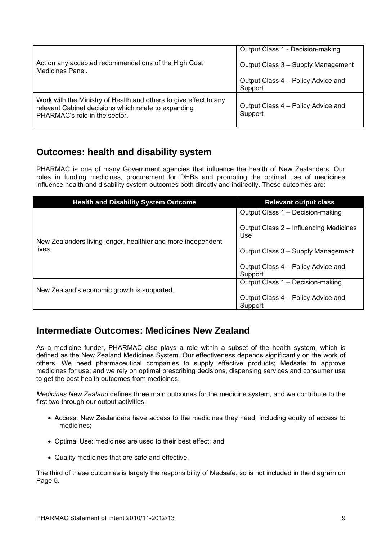| Act on any accepted recommendations of the High Cost<br>Medicines Panel.                                                                                   | Output Class 1 - Decision-making<br>Output Class 3 - Supply Management<br>Output Class 4 – Policy Advice and<br>Support |
|------------------------------------------------------------------------------------------------------------------------------------------------------------|-------------------------------------------------------------------------------------------------------------------------|
| Work with the Ministry of Health and others to give effect to any<br>relevant Cabinet decisions which relate to expanding<br>PHARMAC's role in the sector. | Output Class 4 – Policy Advice and<br>Support                                                                           |

### **Outcomes: health and disability system**

PHARMAC is one of many Government agencies that influence the health of New Zealanders. Our roles in funding medicines, procurement for DHBs and promoting the optimal use of medicines influence health and disability system outcomes both directly and indirectly. These outcomes are:

| <b>Health and Disability System Outcome</b>                            | <b>Relevant output class</b>                  |
|------------------------------------------------------------------------|-----------------------------------------------|
|                                                                        | Output Class 1 - Decision-making              |
| New Zealanders living longer, healthier and more independent<br>lives. | Output Class 2 – Influencing Medicines<br>Use |
|                                                                        | Output Class 3 - Supply Management            |
|                                                                        | Output Class 4 – Policy Advice and<br>Support |
|                                                                        | Output Class 1 - Decision-making              |
| New Zealand's economic growth is supported.                            | Output Class 4 – Policy Advice and            |
|                                                                        | Support                                       |

### **Intermediate Outcomes: Medicines New Zealand**

As a medicine funder, PHARMAC also plays a role within a subset of the health system, which is defined as the New Zealand Medicines System. Our effectiveness depends significantly on the work of others. We need pharmaceutical companies to supply effective products; Medsafe to approve medicines for use; and we rely on optimal prescribing decisions, dispensing services and consumer use to get the best health outcomes from medicines.

*Medicines New Zealand* defines three main outcomes for the medicine system, and we contribute to the first two through our output activities:

- Access: New Zealanders have access to the medicines they need, including equity of access to medicines;
- Optimal Use: medicines are used to their best effect; and
- Quality medicines that are safe and effective.

The third of these outcomes is largely the responsibility of Medsafe, so is not included in the diagram on Page 5.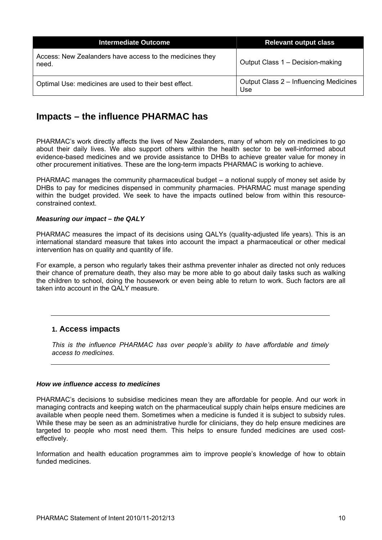| <b>Intermediate Outcome</b>                                       | <b>Relevant output class</b>                  |
|-------------------------------------------------------------------|-----------------------------------------------|
| Access: New Zealanders have access to the medicines they<br>need. | Output Class 1 - Decision-making              |
| Optimal Use: medicines are used to their best effect.             | Output Class 2 - Influencing Medicines<br>Use |

### **Impacts – the influence PHARMAC has**

PHARMAC's work directly affects the lives of New Zealanders, many of whom rely on medicines to go about their daily lives. We also support others within the health sector to be well-informed about evidence-based medicines and we provide assistance to DHBs to achieve greater value for money in other procurement initiatives. These are the long-term impacts PHARMAC is working to achieve.

PHARMAC manages the community pharmaceutical budget – a notional supply of money set aside by DHBs to pay for medicines dispensed in community pharmacies. PHARMAC must manage spending within the budget provided. We seek to have the impacts outlined below from within this resourceconstrained context.

#### *Measuring our impact – the QALY*

PHARMAC measures the impact of its decisions using QALYs (quality-adjusted life years). This is an international standard measure that takes into account the impact a pharmaceutical or other medical intervention has on quality and quantity of life.

For example, a person who regularly takes their asthma preventer inhaler as directed not only reduces their chance of premature death, they also may be more able to go about daily tasks such as walking the children to school, doing the housework or even being able to return to work. Such factors are all taken into account in the QALY measure.

#### **1. Access impacts**

*This is the influence PHARMAC has over people's ability to have affordable and timely access to medicines.* 

#### *How we influence access to medicines*

PHARMAC's decisions to subsidise medicines mean they are affordable for people. And our work in managing contracts and keeping watch on the pharmaceutical supply chain helps ensure medicines are available when people need them. Sometimes when a medicine is funded it is subject to subsidy rules. While these may be seen as an administrative hurdle for clinicians, they do help ensure medicines are targeted to people who most need them. This helps to ensure funded medicines are used costeffectively.

Information and health education programmes aim to improve people's knowledge of how to obtain funded medicines.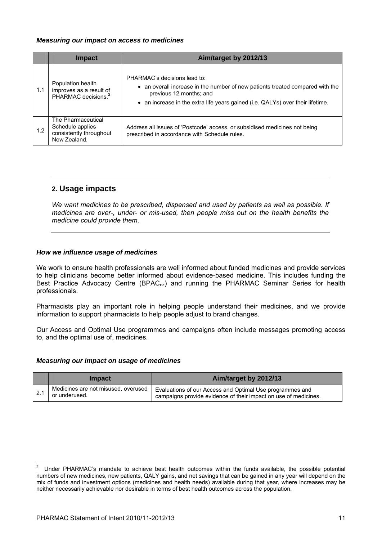#### *Measuring our impact on access to medicines*

|     | <b>Impact</b>                                                                     | Aim/target by 2012/13                                                                                                                                                                                                      |
|-----|-----------------------------------------------------------------------------------|----------------------------------------------------------------------------------------------------------------------------------------------------------------------------------------------------------------------------|
| 1.1 | Population health<br>improves as a result of<br>PHARMAC decisions. <sup>2</sup>   | PHARMAC's decisions lead to:<br>• an overall increase in the number of new patients treated compared with the<br>previous 12 months; and<br>• an increase in the extra life years gained (i.e. QALYs) over their lifetime. |
| 1.2 | The Pharmaceutical<br>Schedule applies<br>consistently throughout<br>New Zealand. | Address all issues of 'Postcode' access, or subsidised medicines not being<br>prescribed in accordance with Schedule rules.                                                                                                |

#### **2. Usage impacts**

*We want medicines to be prescribed, dispensed and used by patients as well as possible. If medicines are over-, under- or mis-used, then people miss out on the health benefits the medicine could provide them.* 

#### *How we influence usage of medicines*

We work to ensure health professionals are well informed about funded medicines and provide services to help clinicians become better informed about evidence-based medicine. This includes funding the Best Practice Advocacy Centre (BPAC<sub>nz</sub>) and running the PHARMAC Seminar Series for health professionals.

Pharmacists play an important role in helping people understand their medicines, and we provide information to support pharmacists to help people adjust to brand changes.

Our Access and Optimal Use programmes and campaigns often include messages promoting access to, and the optimal use of, medicines.

#### *Measuring our impact on usage of medicines*

| <b>Impact</b>                                        | Aim/target by 2012/13                                                                                                       |
|------------------------------------------------------|-----------------------------------------------------------------------------------------------------------------------------|
| Medicines are not misused, overused<br>or underused. | Evaluations of our Access and Optimal Use programmes and<br>campaigns provide evidence of their impact on use of medicines. |

 $\frac{1}{2}$  Under PHARMAC's mandate to achieve best health outcomes within the funds available, the possible potential numbers of new medicines, new patients, QALY gains, and net savings that can be gained in any year will depend on the mix of funds and investment options (medicines and health needs) available during that year, where increases may be neither necessarily achievable nor desirable in terms of best health outcomes across the population.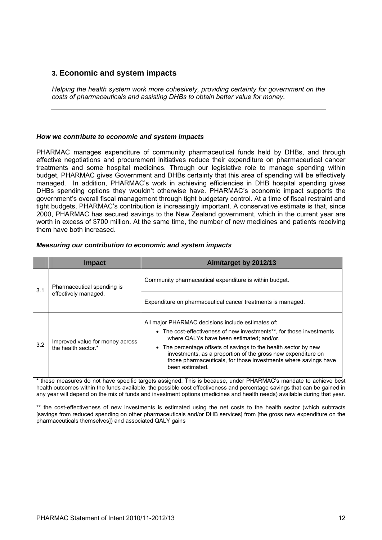#### **3. Economic and system impacts**

*Helping the health system work more cohesively, providing certainty for government on the costs of pharmaceuticals and assisting DHBs to obtain better value for money.* 

#### *How we contribute to economic and system impacts*

PHARMAC manages expenditure of community pharmaceutical funds held by DHBs, and through effective negotiations and procurement initiatives reduce their expenditure on pharmaceutical cancer treatments and some hospital medicines. Through our legislative role to manage spending within budget, PHARMAC gives Government and DHBs certainty that this area of spending will be effectively managed. In addition, PHARMAC's work in achieving efficiencies in DHB hospital spending gives DHBs spending options they wouldn't otherwise have. PHARMAC's economic impact supports the government's overall fiscal management through tight budgetary control. At a time of fiscal restraint and tight budgets, PHARMAC's contribution is increasingly important. A conservative estimate is that, since 2000, PHARMAC has secured savings to the New Zealand government, which in the current year are worth in excess of \$700 million. At the same time, the number of new medicines and patients receiving them have both increased.

|  |  | Measuring our contribution to economic and system impacts |  |  |
|--|--|-----------------------------------------------------------|--|--|
|--|--|-----------------------------------------------------------|--|--|

|     | <b>Impact</b>                                          | Aim/target by 2012/13                                                                                                                                                                                                                                                                                                                                                                          |
|-----|--------------------------------------------------------|------------------------------------------------------------------------------------------------------------------------------------------------------------------------------------------------------------------------------------------------------------------------------------------------------------------------------------------------------------------------------------------------|
| 3.1 | Pharmaceutical spending is                             | Community pharmaceutical expenditure is within budget.                                                                                                                                                                                                                                                                                                                                         |
|     | effectively managed.                                   | Expenditure on pharmaceutical cancer treatments is managed.                                                                                                                                                                                                                                                                                                                                    |
| 3.2 | Improved value for money across<br>the health sector.* | All major PHARMAC decisions include estimates of:<br>• The cost-effectiveness of new investments**, for those investments<br>where QALYs have been estimated; and/or.<br>• The percentage offsets of savings to the health sector by new<br>investments, as a proportion of the gross new expenditure on<br>those pharmaceuticals, for those investments where savings have<br>been estimated. |

these measures do not have specific targets assigned. This is because, under PHARMAC's mandate to achieve best health outcomes within the funds available, the possible cost effectiveness and percentage savings that can be gained in any year will depend on the mix of funds and investment options (medicines and health needs) available during that year.

\*\* the cost-effectiveness of new investments is estimated using the net costs to the health sector (which subtracts [savings from reduced spending on other pharmaceuticals and/or DHB services] from [the gross new expenditure on the pharmaceuticals themselves]) and associated QALY gains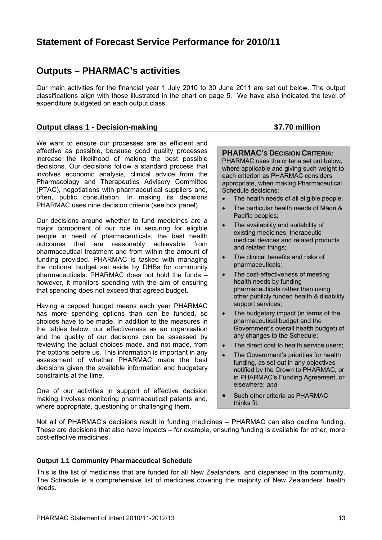### **Statement of Forecast Service Performance for 2010/11**

### **Outputs – PHARMAC's activities**

Our main activities for the financial year 1 July 2010 to 30 June 2011 are set out below. The output classifications align with those illustrated in the chart on page 5. We have also indicated the level of expenditure budgeted on each output class.

#### **Output class 1 - Decision-making \$7.70 million**

We want to ensure our processes are as efficient and effective as possible, because good quality processes increase the likelihood of making the best possible decisions. Our decisions follow a standard process that involves economic analysis, clinical advice from the Pharmacology and Therapeutics Advisory Committee (PTAC), negotiations with pharmaceutical suppliers and, often, public consultation. In making its decisions PHARMAC uses nine decision criteria (see box panel).

Our decisions around whether to fund medicines are a major component of our role in securing for eligible people in need of pharmaceuticals, the best health outcomes that are reasonably achievable from pharmaceutical treatment and from within the amount of funding provided. PHARMAC is tasked with managing the notional budget set aside by DHBs for community pharmaceuticals. PHARMAC does not hold the funds – however, it monitors spending with the aim of ensuring that spending does not exceed that agreed budget.

Having a capped budget means each year PHARMAC has more spending options than can be funded, so choices have to be made. In addition to the measures in the tables below, our effectiveness as an organisation and the quality of our decisions can be assessed by reviewing the actual choices made, and not made, from the options before us. This information is important in any assessment of whether PHARMAC made the best decisions given the available information and budgetary constraints at the time.

One of our activities in support of effective decision making involves monitoring pharmaceutical patents and, where appropriate, questioning or challenging them.

#### **PHARMAC'S DECISION CRITERIA**:

PHARMAC uses the criteria set out below, where applicable and giving such weight to each criterion as PHARMAC considers appropriate, when making Pharmaceutical Schedule decisions:

- The health needs of all eligible people;
- The particular health needs of Māori & Pacific peoples;
- The availability and suitability of existing medicines, therapeutic medical devices and related products and related things;
- The clinical benefits and risks of pharmaceuticals;
- The cost-effectiveness of meeting health needs by funding pharmaceuticals rather than using other publicly funded health & disability support services;
- The budgetary impact (in terms of the pharmaceutical budget and the Government's overall health budget) of any changes to the Schedule;
- The direct cost to health service users:
- The Government's priorities for health funding, as set out in any objectives notified by the Crown to PHARMAC, or in PHARMAC's Funding Agreement, or elsewhere; *and*
- Such other criteria as PHARMAC thinks fit.

Not all of PHARMAC's decisions result in funding medicines – PHARMAC can also decline funding. These are decisions that also have impacts – for example, ensuring funding is available for other, more cost-effective medicines.

#### **Output 1.1 Community Pharmaceutical Schedule**

This is the list of medicines that are funded for all New Zealanders, and dispensed in the community. The Schedule is a comprehensive list of medicines covering the majority of New Zealanders' health needs.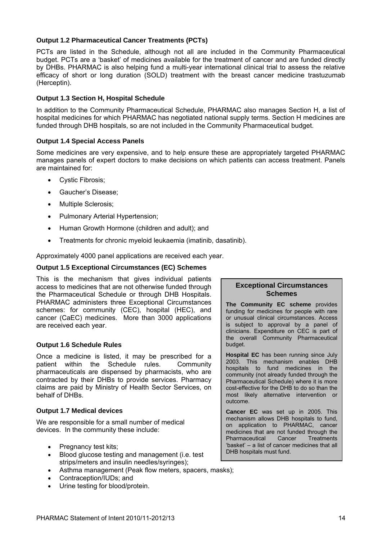#### **Output 1.2 Pharmaceutical Cancer Treatments (PCTs)**

PCTs are listed in the Schedule, although not all are included in the Community Pharmaceutical budget. PCTs are a 'basket' of medicines available for the treatment of cancer and are funded directly by DHBs. PHARMAC is also helping fund a multi-year international clinical trial to assess the relative efficacy of short or long duration (SOLD) treatment with the breast cancer medicine trastuzumab (Herceptin).

#### **Output 1.3 Section H, Hospital Schedule**

In addition to the Community Pharmaceutical Schedule, PHARMAC also manages Section H, a list of hospital medicines for which PHARMAC has negotiated national supply terms. Section H medicines are funded through DHB hospitals, so are not included in the Community Pharmaceutical budget.

#### **Output 1.4 Special Access Panels**

Some medicines are very expensive, and to help ensure these are appropriately targeted PHARMAC manages panels of expert doctors to make decisions on which patients can access treatment. Panels are maintained for:

- Cystic Fibrosis;
- Gaucher's Disease;
- Multiple Sclerosis;
- Pulmonary Arterial Hypertension;
- Human Growth Hormone (children and adult); and
- Treatments for chronic myeloid leukaemia (imatinib, dasatinib).

Approximately 4000 panel applications are received each year.

#### **Output 1.5 Exceptional Circumstances (EC) Schemes**

This is the mechanism that gives individual patients access to medicines that are not otherwise funded through the Pharmaceutical Schedule or through DHB Hospitals. PHARMAC administers three Exceptional Circumstances schemes: for community (CEC), hospital (HEC), and cancer (CaEC) medicines. More than 3000 applications are received each year.

#### **Output 1.6 Schedule Rules**

Once a medicine is listed, it may be prescribed for a patient within the Schedule rules. Community pharmaceuticals are dispensed by pharmacists, who are contracted by their DHBs to provide services. Pharmacy claims are paid by Ministry of Health Sector Services, on behalf of DHBs.

#### **Output 1.7 Medical devices**

We are responsible for a small number of medical devices. In the community these include:

- Pregnancy test kits;
- Blood glucose testing and management (i.e. test strips/meters and insulin needles/syringes);
- Asthma management (Peak flow meters, spacers, masks);
- Contraception/IUDs; and
- Urine testing for blood/protein.

#### **Exceptional Circumstances Schemes**

**The Community EC scheme** provides funding for medicines for people with rare or unusual clinical circumstances. Access is subject to approval by a panel of clinicians. Expenditure on CEC is part of the overall Community Pharmaceutical budget.

**Hospital EC** has been running since July 2003. This mechanism enables DHB hospitals to fund medicines in the community (not already funded through the Pharmaceutical Schedule) where it is more cost-effective for the DHB to do so than the most likely alternative intervention or outcome.

**Cancer EC** was set up in 2005. This mechanism allows DHB hospitals to fund, on application to PHARMAC, cancer medicines that are not funded through the Pharmaceutical Cancer Treatments 'basket' – a list of cancer medicines that all DHB hospitals must fund.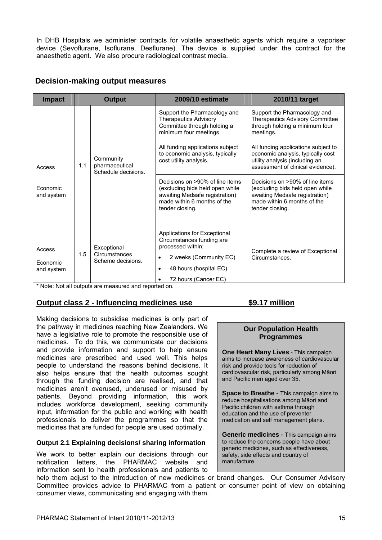In DHB Hospitals we administer contracts for volatile anaesthetic agents which require a vaporiser device (Sevoflurane, Isoflurane, Desflurane). The device is supplied under the contract for the anaesthetic agent. We also procure radiological contrast media.

#### **Decision-making output measures**

| <b>Impact</b>                           | <b>Output</b> |                                                    | <b>2009/10 estimate</b>                                                                                                                                                      | 2010/11 target                                                                                                                                         |
|-----------------------------------------|---------------|----------------------------------------------------|------------------------------------------------------------------------------------------------------------------------------------------------------------------------------|--------------------------------------------------------------------------------------------------------------------------------------------------------|
|                                         |               |                                                    | Support the Pharmacology and<br><b>Therapeutics Advisory</b><br>Committee through holding a<br>minimum four meetings.                                                        | Support the Pharmacology and<br>Therapeutics Advisory Committee<br>through holding a minimum four<br>meetings.                                         |
| Access                                  | 1.1           | Community<br>pharmaceutical<br>Schedule decisions. | All funding applications subject<br>to economic analysis, typically<br>cost utility analysis.                                                                                | All funding applications subject to<br>economic analysis, typically cost<br>utility analysis (including an<br>assessment of clinical evidence).        |
| Economic<br>and system                  |               |                                                    | Decisions on >90% of line items<br>(excluding bids held open while<br>awaiting Medsafe registration)<br>made within 6 months of the<br>tender closing.                       | Decisions on >90% of line items<br>(excluding bids held open while<br>awaiting Medsafe registration)<br>made within 6 months of the<br>tender closing. |
| Access<br><b>Fconomic</b><br>and system | 1.5           | Exceptional<br>Circumstances<br>Scheme decisions.  | Applications for Exceptional<br>Circumstances funding are<br>processed within:<br>2 weeks (Community EC)<br>٠<br>48 hours (hospital EC)<br>$\bullet$<br>72 hours (Cancer EC) | Complete a review of Exceptional<br>Circumstances.                                                                                                     |

\* Note: Not all outputs are measured and reported on.

#### **Output class 2 - Influencing medicines use \$9.17 million**

Making decisions to subsidise medicines is only part of the pathway in medicines reaching New Zealanders. We have a legislative role to promote the responsible use of medicines. To do this, we communicate our decisions and provide information and support to help ensure medicines are prescribed and used well. This helps people to understand the reasons behind decisions. It also helps ensure that the health outcomes sought through the funding decision are realised, and that medicines aren't overused, underused or misused by patients. Beyond providing information, this work includes workforce development, seeking community input, information for the public and working with health professionals to deliver the programmes so that the medicines that are funded for people are used optimally.

#### **Output 2.1 Explaining decisions/ sharing information**

We work to better explain our decisions through our notification letters, the PHARMAC website and information sent to health professionals and patients to

#### **Our Population Health Programmes**

**One Heart Many Lives** - This campaign aims to increase awareness of cardiovascular risk and provide tools for reduction of cardiovascular risk, particularly among Māori and Pacific men aged over 35.

**Space to Breathe** - This campaign aims to reduce hospitalisations among Māori and Pacific children with asthma through education and the use of preventer medication and self management plans.

**Generic medicines** - This campaign aims to reduce the concerns people have about generic medicines, such as effectiveness, safety, side effects and country of manufacture.

help them adjust to the introduction of new medicines or brand changes. Our Consumer Advisory Committee provides advice to PHARMAC from a patient or consumer point of view on obtaining consumer views, communicating and engaging with them.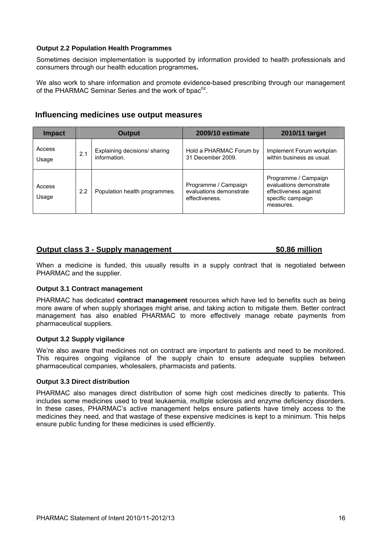#### **Output 2.2 Population Health Programmes**

Sometimes decision implementation is supported by information provided to health professionals and consumers through our health education programmes**.**

We also work to share information and promote evidence-based prescribing through our management of the PHARMAC Seminar Series and the work of bpac<sup>nz</sup>.

| Influencing medicines use output measures |  |  |  |  |
|-------------------------------------------|--|--|--|--|
|-------------------------------------------|--|--|--|--|

| <b>Impact</b>   | <b>Output</b> |                                               | <b>2009/10 estimate</b>                                           | 2010/11 target                                                                                             |
|-----------------|---------------|-----------------------------------------------|-------------------------------------------------------------------|------------------------------------------------------------------------------------------------------------|
| Access<br>Usage | 2.1           | Explaining decisions/ sharing<br>information. | Hold a PHARMAC Forum by<br>31 December 2009.                      | Implement Forum workplan<br>within business as usual.                                                      |
| Access<br>Usage | 2.2           | Population health programmes.                 | Programme / Campaign<br>evaluations demonstrate<br>effectiveness. | Programme / Campaign<br>evaluations demonstrate<br>effectiveness against<br>specific campaign<br>measures. |

#### **Output class 3 - Supply management 60.86 million**

When a medicine is funded, this usually results in a supply contract that is negotiated between PHARMAC and the supplier.

#### **Output 3.1 Contract management**

PHARMAC has dedicated **contract management** resources which have led to benefits such as being more aware of when supply shortages might arise, and taking action to mitigate them. Better contract management has also enabled PHARMAC to more effectively manage rebate payments from pharmaceutical suppliers.

#### **Output 3.2 Supply vigilance**

We're also aware that medicines not on contract are important to patients and need to be monitored. This requires ongoing vigilance of the supply chain to ensure adequate supplies between pharmaceutical companies, wholesalers, pharmacists and patients.

#### **Output 3.3 Direct distribution**

PHARMAC also manages direct distribution of some high cost medicines directly to patients. This includes some medicines used to treat leukaemia, multiple sclerosis and enzyme deficiency disorders. In these cases, PHARMAC's active management helps ensure patients have timely access to the medicines they need, and that wastage of these expensive medicines is kept to a minimum. This helps ensure public funding for these medicines is used efficiently.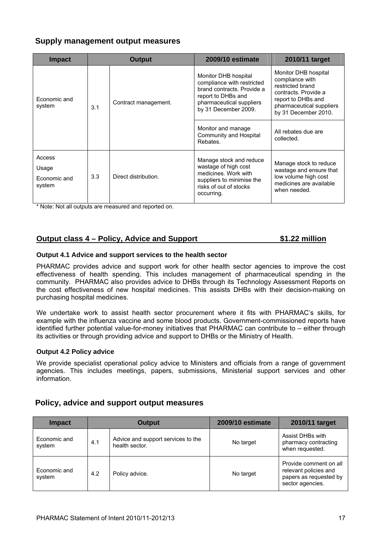#### **Supply management output measures**

| <b>Impact</b>                             | <b>Output</b> |                      | <b>2009/10 estimate</b>                                                                                                                                    | 2010/11 target                                                                                                                                                |
|-------------------------------------------|---------------|----------------------|------------------------------------------------------------------------------------------------------------------------------------------------------------|---------------------------------------------------------------------------------------------------------------------------------------------------------------|
| Economic and<br>system                    | 3.1           | Contract management. | Monitor DHB hospital<br>compliance with restricted<br>brand contracts. Provide a<br>report to DHBs and<br>pharmaceutical suppliers<br>by 31 December 2009. | Monitor DHB hospital<br>compliance with<br>restricted brand<br>contracts. Provide a<br>report to DHBs and<br>pharmaceutical suppliers<br>by 31 December 2010. |
|                                           |               |                      | Monitor and manage<br>Community and Hospital<br>Rebates.                                                                                                   | All rebates due are<br>collected.                                                                                                                             |
| Access<br>Usage<br>Economic and<br>system | 3.3           | Direct distribution. | Manage stock and reduce<br>wastage of high cost<br>medicines. Work with<br>suppliers to minimise the<br>risks of out of stocks<br>occurring.               | Manage stock to reduce<br>wastage and ensure that<br>low volume high cost<br>medicines are available<br>when needed.                                          |

\* Note: Not all outputs are measured and reported on.

#### **Output class 4 – Policy, Advice and Support \$1.22 million**

#### **Output 4.1 Advice and support services to the health sector**

PHARMAC provides advice and support work for other health sector agencies to improve the cost effectiveness of health spending. This includes management of pharmaceutical spending in the community. PHARMAC also provides advice to DHBs through its Technology Assessment Reports on the cost effectiveness of new hospital medicines. This assists DHBs with their decision-making on purchasing hospital medicines.

We undertake work to assist health sector procurement where it fits with PHARMAC's skills, for example with the influenza vaccine and some blood products. Government-commissioned reports have identified further potential value-for-money initiatives that PHARMAC can contribute to – either through its activities or through providing advice and support to DHBs or the Ministry of Health.

#### **Output 4.2 Policy advice**

We provide specialist operational policy advice to Ministers and officials from a range of government agencies. This includes meetings, papers, submissions, Ministerial support services and other information.

#### **Policy, advice and support output measures**

| Impact                 | <b>Output</b> |                                                      | 2009/10 estimate | 2010/11 target                                                                                |
|------------------------|---------------|------------------------------------------------------|------------------|-----------------------------------------------------------------------------------------------|
| Economic and<br>system | 4.1           | Advice and support services to the<br>health sector. | No target        | Assist DHBs with<br>pharmacy contracting<br>when requested.                                   |
| Economic and<br>system | 4.2           | Policy advice.                                       | No target        | Provide comment on all<br>relevant policies and<br>papers as requested by<br>sector agencies. |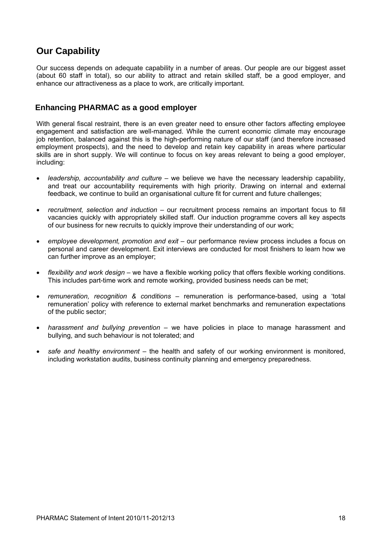### **Our Capability**

Our success depends on adequate capability in a number of areas. Our people are our biggest asset (about 60 staff in total), so our ability to attract and retain skilled staff, be a good employer, and enhance our attractiveness as a place to work, are critically important.

#### **Enhancing PHARMAC as a good employer**

With general fiscal restraint, there is an even greater need to ensure other factors affecting employee engagement and satisfaction are well-managed. While the current economic climate may encourage job retention, balanced against this is the high-performing nature of our staff (and therefore increased employment prospects), and the need to develop and retain key capability in areas where particular skills are in short supply. We will continue to focus on key areas relevant to being a good employer, including:

- *leadership, accountability and culture* we believe we have the necessary leadership capability, and treat our accountability requirements with high priority. Drawing on internal and external feedback, we continue to build an organisational culture fit for current and future challenges;
- *recruitment, selection and induction* our recruitment process remains an important focus to fill vacancies quickly with appropriately skilled staff. Our induction programme covers all key aspects of our business for new recruits to quickly improve their understanding of our work;
- *employee development, promotion and exit* our performance review process includes a focus on personal and career development. Exit interviews are conducted for most finishers to learn how we can further improve as an employer;
- *flexibility and work design* we have a flexible working policy that offers flexible working conditions. This includes part-time work and remote working, provided business needs can be met;
- *remuneration, recognition & conditions* remuneration is performance-based, using a 'total remuneration' policy with reference to external market benchmarks and remuneration expectations of the public sector;
- *harassment and bullying prevention* we have policies in place to manage harassment and bullying, and such behaviour is not tolerated; and
- *safe and healthy environment* the health and safety of our working environment is monitored, including workstation audits, business continuity planning and emergency preparedness.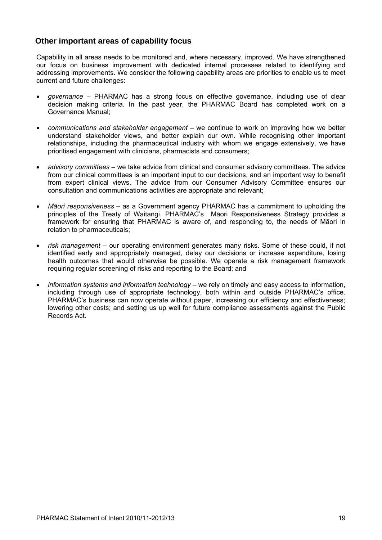#### **Other important areas of capability focus**

Capability in all areas needs to be monitored and, where necessary, improved. We have strengthened our focus on business improvement with dedicated internal processes related to identifying and addressing improvements. We consider the following capability areas are priorities to enable us to meet current and future challenges:

- *governance* PHARMAC has a strong focus on effective governance, including use of clear decision making criteria. In the past year, the PHARMAC Board has completed work on a Governance Manual;
- *communications and stakeholder engagement* we continue to work on improving how we better understand stakeholder views, and better explain our own. While recognising other important relationships, including the pharmaceutical industry with whom we engage extensively, we have prioritised engagement with clinicians, pharmacists and consumers;
- *advisory committees* we take advice from clinical and consumer advisory committees. The advice from our clinical committees is an important input to our decisions, and an important way to benefit from expert clinical views. The advice from our Consumer Advisory Committee ensures our consultation and communications activities are appropriate and relevant;
- *Māori responsiveness*  as a Government agency PHARMAC has a commitment to upholding the principles of the Treaty of Waitangi. PHARMAC's Māori Responsiveness Strategy provides a framework for ensuring that PHARMAC is aware of, and responding to, the needs of Māori in relation to pharmaceuticals;
- *risk management* our operating environment generates many risks. Some of these could, if not identified early and appropriately managed, delay our decisions or increase expenditure, losing health outcomes that would otherwise be possible. We operate a risk management framework requiring regular screening of risks and reporting to the Board; and
- *information systems and information technology* we rely on timely and easy access to information, including through use of appropriate technology, both within and outside PHARMAC's office. PHARMAC's business can now operate without paper, increasing our efficiency and effectiveness; lowering other costs; and setting us up well for future compliance assessments against the Public Records Act.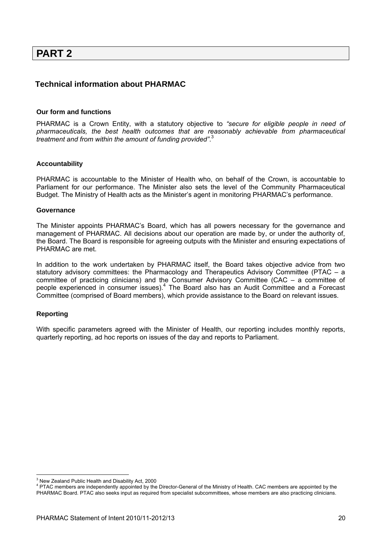### **PART 2**

#### **Technical information about PHARMAC**

#### **Our form and functions**

PHARMAC is a Crown Entity, with a statutory objective to *"secure for eligible people in need of pharmaceuticals, the best health outcomes that are reasonably achievable from pharmaceutical treatment and from within the amount of funding provided"*. 3

#### **Accountability**

PHARMAC is accountable to the Minister of Health who, on behalf of the Crown, is accountable to Parliament for our performance. The Minister also sets the level of the Community Pharmaceutical Budget. The Ministry of Health acts as the Minister's agent in monitoring PHARMAC's performance.

#### **Governance**

The Minister appoints PHARMAC's Board, which has all powers necessary for the governance and management of PHARMAC. All decisions about our operation are made by, or under the authority of, the Board. The Board is responsible for agreeing outputs with the Minister and ensuring expectations of PHARMAC are met.

In addition to the work undertaken by PHARMAC itself, the Board takes objective advice from two statutory advisory committees: the Pharmacology and Therapeutics Advisory Committee (PTAC – a committee of practicing clinicians) and the Consumer Advisory Committee (CAC – a committee of people experienced in consumer issues).<sup>4</sup> The Board also has an Audit Committee and a Forecast Committee (comprised of Board members), which provide assistance to the Board on relevant issues.

#### **Reporting**

 $\overline{a}$ 

With specific parameters agreed with the Minister of Health, our reporting includes monthly reports, quarterly reporting, ad hoc reports on issues of the day and reports to Parliament.

<sup>&</sup>lt;sup>3</sup> New Zealand Public Health and Disability Act, 2000

<sup>&</sup>lt;sup>4</sup> PTAC members are independently appointed by the Director-General of the Ministry of Health. CAC members are appointed by the PHARMAC Board. PTAC also seeks input as required from specialist subcommittees, whose members are also practicing clinicians.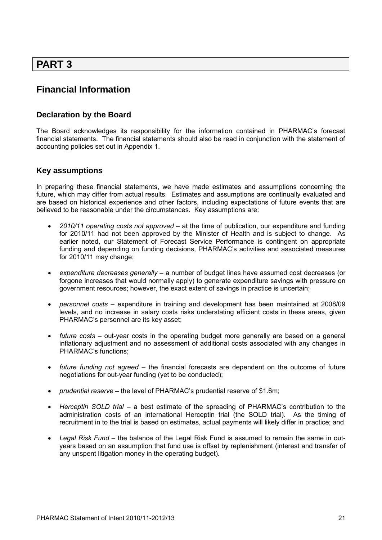### **PART 3**

### **Financial Information**

### **Declaration by the Board**

The Board acknowledges its responsibility for the information contained in PHARMAC's forecast financial statements. The financial statements should also be read in conjunction with the statement of accounting policies set out in Appendix 1.

#### **Key assumptions**

In preparing these financial statements, we have made estimates and assumptions concerning the future, which may differ from actual results. Estimates and assumptions are continually evaluated and are based on historical experience and other factors, including expectations of future events that are believed to be reasonable under the circumstances. Key assumptions are:

- *2010/11 operating costs not approved*  at the time of publication, our expenditure and funding for 2010/11 had not been approved by the Minister of Health and is subject to change. As earlier noted, our Statement of Forecast Service Performance is contingent on appropriate funding and depending on funding decisions, PHARMAC's activities and associated measures for 2010/11 may change;
- *expenditure decreases generally* a number of budget lines have assumed cost decreases (or forgone increases that would normally apply) to generate expenditure savings with pressure on government resources; however, the exact extent of savings in practice is uncertain;
- *personnel costs* expenditure in training and development has been maintained at 2008/09 levels, and no increase in salary costs risks understating efficient costs in these areas, given PHARMAC's personnel are its key asset;
- *future costs* out-year costs in the operating budget more generally are based on a general inflationary adjustment and no assessment of additional costs associated with any changes in PHARMAC's functions;
- *future funding not agreed* the financial forecasts are dependent on the outcome of future negotiations for out-year funding (yet to be conducted);
- *prudential reserve* the level of PHARMAC's prudential reserve of \$1.6m;
- *Herceptin SOLD trial* a best estimate of the spreading of PHARMAC's contribution to the administration costs of an international Herceptin trial (the SOLD trial). As the timing of recruitment in to the trial is based on estimates, actual payments will likely differ in practice; and
- *Legal Risk Fund* the balance of the Legal Risk Fund is assumed to remain the same in outyears based on an assumption that fund use is offset by replenishment (interest and transfer of any unspent litigation money in the operating budget).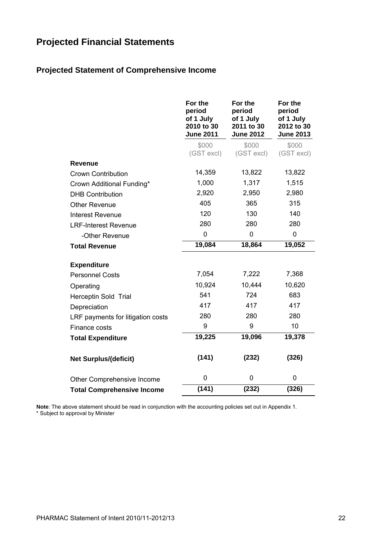# **Projected Financial Statements**

### **Projected Statement of Comprehensive Income**

|                                   | For the<br>period<br>of 1 July<br>2010 to 30<br><b>June 2011</b> | For the<br>period<br>of 1 July<br>2011 to 30<br><b>June 2012</b> | For the<br>period<br>of 1 July<br>2012 to 30<br><b>June 2013</b> |
|-----------------------------------|------------------------------------------------------------------|------------------------------------------------------------------|------------------------------------------------------------------|
|                                   | \$000<br>(GST excl)                                              | \$000<br>(GST excl)                                              | \$000<br>(GST excl)                                              |
| <b>Revenue</b>                    |                                                                  |                                                                  |                                                                  |
| <b>Crown Contribution</b>         | 14,359                                                           | 13,822                                                           | 13,822                                                           |
| Crown Additional Funding*         | 1,000                                                            | 1,317                                                            | 1,515                                                            |
| <b>DHB Contribution</b>           | 2,920                                                            | 2,950                                                            | 2,980                                                            |
| <b>Other Revenue</b>              | 405                                                              | 365                                                              | 315                                                              |
| <b>Interest Revenue</b>           | 120                                                              | 130                                                              | 140                                                              |
| <b>LRF-Interest Revenue</b>       | 280                                                              | 280                                                              | 280                                                              |
| -Other Revenue                    | 0                                                                | 0                                                                | 0                                                                |
| <b>Total Revenue</b>              | 19,084                                                           | 18,864                                                           | 19,052                                                           |
| <b>Expenditure</b>                |                                                                  |                                                                  |                                                                  |
| <b>Personnel Costs</b>            | 7,054                                                            | 7,222                                                            | 7,368                                                            |
| Operating                         | 10,924                                                           | 10,444                                                           | 10,620                                                           |
| Herceptin Sold Trial              | 541                                                              | 724                                                              | 683                                                              |
| Depreciation                      | 417                                                              | 417                                                              | 417                                                              |
| LRF payments for litigation costs | 280                                                              | 280                                                              | 280                                                              |
| Finance costs                     | 9                                                                | 9                                                                | 10                                                               |
| <b>Total Expenditure</b>          | 19,225                                                           | 19,096                                                           | 19,378                                                           |
| <b>Net Surplus/(deficit)</b>      | (141)                                                            | (232)                                                            | (326)                                                            |
| Other Comprehensive Income        | 0                                                                | 0                                                                | 0                                                                |
| <b>Total Comprehensive Income</b> | (141)                                                            | (232)                                                            | (326)                                                            |

**Note**: The above statement should be read in conjunction with the accounting policies set out in Appendix 1. \* Subject to approval by Minister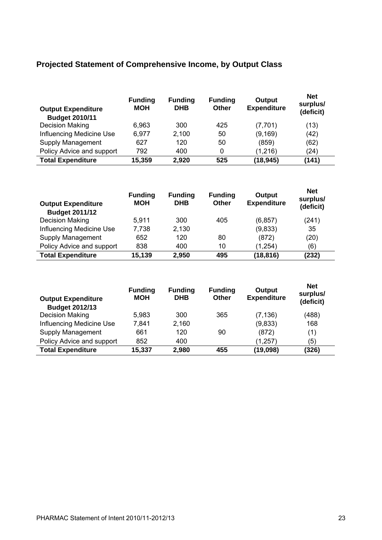### **Projected Statement of Comprehensive Income, by Output Class**

| <b>Output Expenditure</b><br><b>Budget 2010/11</b> | <b>Funding</b><br><b>MOH</b> | <b>Funding</b><br><b>DHB</b> | <b>Funding</b><br><b>Other</b> | <b>Output</b><br><b>Expenditure</b> | <b>Net</b><br>surplus/<br>(deficit) |
|----------------------------------------------------|------------------------------|------------------------------|--------------------------------|-------------------------------------|-------------------------------------|
| Decision Making                                    | 6,963                        | 300                          | 425                            | (7,701)                             | (13)                                |
| Influencing Medicine Use                           | 6,977                        | 2,100                        | 50                             | (9, 169)                            | (42)                                |
| Supply Management                                  | 627                          | 120                          | 50                             | (859)                               | (62)                                |
| Policy Advice and support                          | 792                          | 400                          | 0                              | (1,216)                             | (24)                                |
| <b>Total Expenditure</b>                           | 15,359                       | 2,920                        | 525                            | (18, 945)                           | (141)                               |

| <b>Output Expenditure</b><br><b>Budget 2011/12</b> | <b>Funding</b><br><b>MOH</b> | <b>Funding</b><br><b>DHB</b> | <b>Funding</b><br>Other | Output<br><b>Expenditure</b> | <b>Net</b><br>surplus/<br>(deficit) |
|----------------------------------------------------|------------------------------|------------------------------|-------------------------|------------------------------|-------------------------------------|
| Decision Making                                    | 5,911                        | 300                          | 405                     | (6, 857)                     | (241)                               |
| Influencing Medicine Use                           | 7,738                        | 2,130                        |                         | (9,833)                      | 35                                  |
| Supply Management                                  | 652                          | 120                          | 80                      | (872)                        | (20)                                |
| Policy Advice and support                          | 838                          | 400                          | 10                      | (1, 254)                     | (6)                                 |
| <b>Total Expenditure</b>                           | 15,139                       | 2,950                        | 495                     | (18, 816)                    | (232)                               |

| <b>Output Expenditure</b><br><b>Budget 2012/13</b> | <b>Funding</b><br><b>MOH</b> | <b>Funding</b><br><b>DHB</b> | <b>Funding</b><br>Other | Output<br><b>Expenditure</b> | <b>Net</b><br>surplus/<br>(deficit) |
|----------------------------------------------------|------------------------------|------------------------------|-------------------------|------------------------------|-------------------------------------|
| Decision Making                                    | 5,983                        | 300                          | 365                     | (7, 136)                     | (488)                               |
| Influencing Medicine Use                           | 7.841                        | 2,160                        |                         | (9,833)                      | 168                                 |
| Supply Management                                  | 661                          | 120                          | 90                      | (872)                        | (1)                                 |
| Policy Advice and support                          | 852                          | 400                          |                         | (1, 257)                     | (5)                                 |
| <b>Total Expenditure</b>                           | 15,337                       | 2,980                        | 455                     | (19, 098)                    | (326)                               |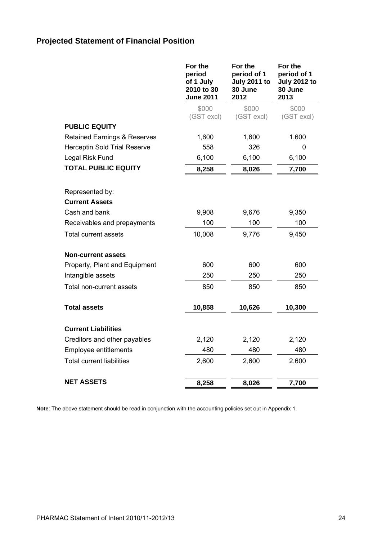# **Projected Statement of Financial Position**

|                                         | For the<br>period<br>of 1 July<br>2010 to 30<br><b>June 2011</b> | For the<br>period of 1<br><b>July 2011 to</b><br>30 June<br>2012 | For the<br>period of 1<br><b>July 2012 to</b><br>30 June<br>2013 |
|-----------------------------------------|------------------------------------------------------------------|------------------------------------------------------------------|------------------------------------------------------------------|
|                                         | \$000<br>(GST excl)                                              | \$000<br>(GST excl)                                              | \$000<br>(GST excl)                                              |
| <b>PUBLIC EQUITY</b>                    |                                                                  |                                                                  |                                                                  |
| <b>Retained Earnings &amp; Reserves</b> | 1,600                                                            | 1,600                                                            | 1,600                                                            |
| <b>Herceptin Sold Trial Reserve</b>     | 558                                                              | 326                                                              | 0                                                                |
| Legal Risk Fund                         | 6,100                                                            | 6,100                                                            | 6,100                                                            |
| <b>TOTAL PUBLIC EQUITY</b>              | 8,258                                                            | 8,026                                                            | 7,700                                                            |
| Represented by:                         |                                                                  |                                                                  |                                                                  |
| <b>Current Assets</b>                   |                                                                  |                                                                  |                                                                  |
| Cash and bank                           | 9,908                                                            | 9,676                                                            | 9,350                                                            |
| Receivables and prepayments             | 100                                                              | 100                                                              | 100                                                              |
| <b>Total current assets</b>             | 10,008                                                           | 9,776                                                            | 9,450                                                            |
| Non-current assets                      |                                                                  |                                                                  |                                                                  |
| Property, Plant and Equipment           | 600                                                              | 600                                                              | 600                                                              |
| Intangible assets                       | 250                                                              | 250                                                              | 250                                                              |
| Total non-current assets                | 850                                                              | 850                                                              | 850                                                              |
| <b>Total assets</b>                     | 10,858                                                           | 10,626                                                           | 10,300                                                           |
| <b>Current Liabilities</b>              |                                                                  |                                                                  |                                                                  |
| Creditors and other payables            | 2,120                                                            | 2,120                                                            | 2,120                                                            |
| Employee entitlements                   | 480                                                              | 480                                                              | 480                                                              |
| <b>Total current liabilities</b>        | 2,600                                                            | 2,600                                                            | 2,600                                                            |
| NET ASSETS                              | 8,258                                                            | 8,026                                                            | 7,700                                                            |

**Note**: The above statement should be read in conjunction with the accounting policies set out in Appendix 1.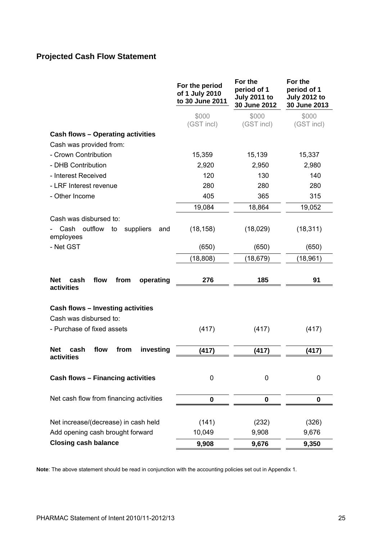# **Projected Cash Flow Statement**

|                                                               | For the period<br>of 1 July 2010<br>to 30 June 2011 | For the<br>period of 1<br><b>July 2011 to</b><br>30 June 2012 | For the<br>period of 1<br><b>July 2012 to</b><br>30 June 2013 |
|---------------------------------------------------------------|-----------------------------------------------------|---------------------------------------------------------------|---------------------------------------------------------------|
|                                                               | \$000<br>(GST incl)                                 | \$000<br>(GST incl)                                           | \$000<br>(GST incl)                                           |
| <b>Cash flows - Operating activities</b>                      |                                                     |                                                               |                                                               |
| Cash was provided from:                                       |                                                     |                                                               |                                                               |
| - Crown Contribution                                          | 15,359                                              | 15,139                                                        | 15,337                                                        |
| - DHB Contribution                                            | 2,920                                               | 2,950                                                         | 2,980                                                         |
| - Interest Received                                           | 120                                                 | 130                                                           | 140                                                           |
| - LRF Interest revenue                                        | 280                                                 | 280                                                           | 280                                                           |
| - Other Income                                                | 405                                                 | 365                                                           | 315                                                           |
|                                                               | 19,084                                              | 18,864                                                        | 19,052                                                        |
| Cash was disbursed to:                                        |                                                     |                                                               |                                                               |
| outflow<br>Cash<br>suppliers<br>to<br>and<br>employees        | (18, 158)                                           | (18,029)                                                      | (18, 311)                                                     |
| - Net GST                                                     | (650)                                               | (650)                                                         | (650)                                                         |
|                                                               | (18, 808)                                           | (18, 679)                                                     | (18, 961)                                                     |
|                                                               |                                                     |                                                               |                                                               |
| <b>Net</b><br>cash<br>flow<br>operating<br>from<br>activities | 276                                                 | 185                                                           | 91                                                            |
| <b>Cash flows - Investing activities</b>                      |                                                     |                                                               |                                                               |
| Cash was disbursed to:                                        |                                                     |                                                               |                                                               |
| - Purchase of fixed assets                                    | (417)                                               | (417)                                                         | (417)                                                         |
|                                                               |                                                     |                                                               |                                                               |
| <b>Net</b><br>investing<br>cash<br>flow<br>from               | (417)                                               | (417)                                                         | (417)                                                         |
| activities                                                    |                                                     |                                                               |                                                               |
| Cash flows - Financing activities                             | 0                                                   | 0                                                             | 0                                                             |
| Net cash flow from financing activities                       | 0                                                   | $\bf{0}$                                                      | 0                                                             |
|                                                               |                                                     |                                                               |                                                               |
| Net increase/(decrease) in cash held                          | (141)                                               | (232)                                                         | (326)                                                         |
| Add opening cash brought forward                              | 10,049                                              | 9,908                                                         | 9,676                                                         |
| <b>Closing cash balance</b>                                   | 9,908                                               | 9,676                                                         | 9,350                                                         |

**Note**: The above statement should be read in conjunction with the accounting policies set out in Appendix 1.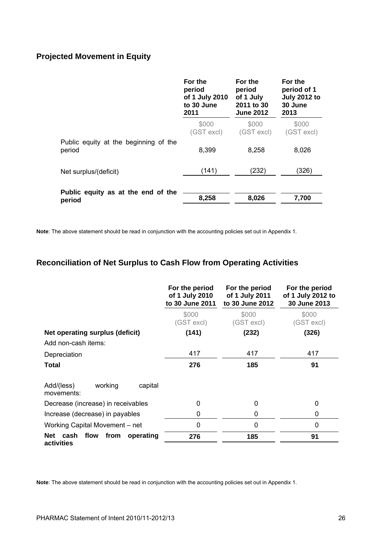### **Projected Movement in Equity**

| \$000<br>(GST excl) |
|---------------------|
| 8,026               |
| (326)               |
| 7,700               |
|                     |

**Note**: The above statement should be read in conjunction with the accounting policies set out in Appendix 1.

### **Reconciliation of Net Surplus to Cash Flow from Operating Activities**

|                                                     | For the period<br>of 1 July 2010<br>to 30 June 2011 | For the period<br>of 1 July 2011<br>to 30 June 2012 | For the period<br>of 1 July 2012 to<br>30 June 2013 |
|-----------------------------------------------------|-----------------------------------------------------|-----------------------------------------------------|-----------------------------------------------------|
|                                                     | \$000<br>(GST excl)                                 | \$000<br>(GST excl)                                 | \$000<br>(GST excl)                                 |
| Net operating surplus (deficit)                     | (141)                                               | (232)                                               | (326)                                               |
| Add non-cash items:                                 |                                                     |                                                     |                                                     |
| Depreciation                                        | 417                                                 | 417                                                 | 417                                                 |
| Total                                               | 276                                                 | 185                                                 | 91                                                  |
| Add/(less)<br>working<br>capital<br>movements:      |                                                     |                                                     |                                                     |
| Decrease (increase) in receivables                  | 0                                                   | 0                                                   | 0                                                   |
| Increase (decrease) in payables                     | 0                                                   | 0                                                   | 0                                                   |
| Working Capital Movement - net                      | 0                                                   | $\Omega$                                            | 0                                                   |
| flow<br>from<br>Net cash<br>operating<br>activities | 276                                                 | 185                                                 | 91                                                  |

**Note**: The above statement should be read in conjunction with the accounting policies set out in Appendix 1.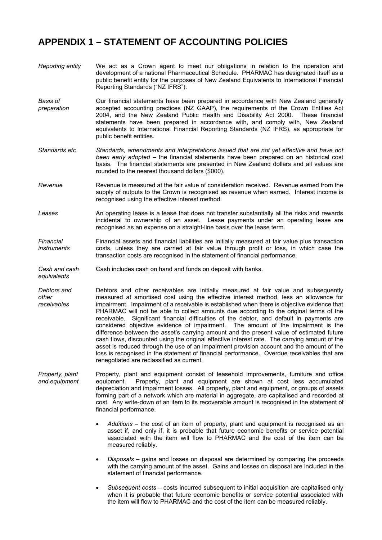### **APPENDIX 1 – STATEMENT OF ACCOUNTING POLICIES**

- *Reporting entity* We act as a Crown agent to meet our obligations in relation to the operation and development of a national Pharmaceutical Schedule. PHARMAC has designated itself as a public benefit entity for the purposes of New Zealand Equivalents to International Financial Reporting Standards ("NZ IFRS").
- *Basis of preparation*  Our financial statements have been prepared in accordance with New Zealand generally accepted accounting practices (NZ GAAP), the requirements of the Crown Entities Act 2004, and the New Zealand Public Health and Disability Act 2000. These financial statements have been prepared in accordance with, and comply with, New Zealand equivalents to International Financial Reporting Standards (NZ IFRS), as appropriate for public benefit entities.
- *Standards etc Standards, amendments and interpretations issued that are not yet effective and have not been early adopted* – the financial statements have been prepared on an historical cost basis. The financial statements are presented in New Zealand dollars and all values are rounded to the nearest thousand dollars (\$000).
- *Revenue* Revenue is measured at the fair value of consideration received. Revenue earned from the supply of outputs to the Crown is recognised as revenue when earned. Interest income is recognised using the effective interest method.
- *Leases* An operating lease is a lease that does not transfer substantially all the risks and rewards incidental to ownership of an asset. Lease payments under an operating lease are recognised as an expense on a straight-line basis over the lease term.
- *Financial instruments*  Financial assets and financial liabilities are initially measured at fair value plus transaction costs, unless they are carried at fair value through profit or loss, in which case the transaction costs are recognised in the statement of financial performance.
- *Cash and cash equivalents*  Cash includes cash on hand and funds on deposit with banks.
- *Debtors and other receivables*  Debtors and other receivables are initially measured at fair value and subsequently measured at amortised cost using the effective interest method, less an allowance for impairment. Impairment of a receivable is established when there is objective evidence that PHARMAC will not be able to collect amounts due according to the original terms of the receivable. Significant financial difficulties of the debtor, and default in payments are considered objective evidence of impairment. The amount of the impairment is the difference between the asset's carrying amount and the present value of estimated future cash flows, discounted using the original effective interest rate. The carrying amount of the asset is reduced through the use of an impairment provision account and the amount of the loss is recognised in the statement of financial performance. Overdue receivables that are renegotiated are reclassified as current.
- *Property, plant and equipment*  Property, plant and equipment consist of leasehold improvements, furniture and office equipment. Property, plant and equipment are shown at cost less accumulated depreciation and impairment losses. All property, plant and equipment, or groups of assets forming part of a network which are material in aggregate, are capitalised and recorded at cost. Any write-down of an item to its recoverable amount is recognised in the statement of financial performance.
	- *Additions* the cost of an item of property, plant and equipment is recognised as an asset if, and only if, it is probable that future economic benefits or service potential associated with the item will flow to PHARMAC and the cost of the item can be measured reliably.
	- *Disposals* gains and losses on disposal are determined by comparing the proceeds with the carrying amount of the asset. Gains and losses on disposal are included in the statement of financial performance.
	- *Subsequent costs* costs incurred subsequent to initial acquisition are capitalised only when it is probable that future economic benefits or service potential associated with the item will flow to PHARMAC and the cost of the item can be measured reliably.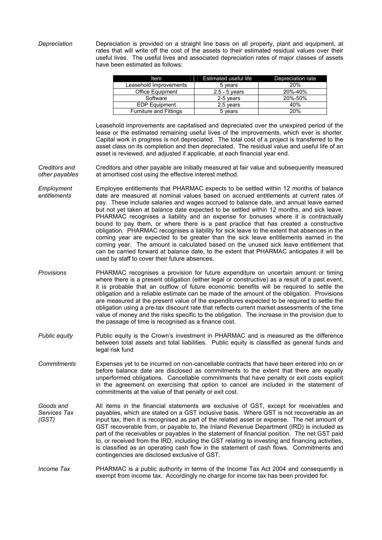*Depreciation* Depreciation is provided on a straight line basis on all property, plant and equipment, at rates that will write off the cost of the assets to their estimated residual values over their useful lives. The useful lives and associated depreciation rates of major classes of assets have been estimated as follows:

| Item                          | <b>Estimated useful life</b> | Depreciation rate |
|-------------------------------|------------------------------|-------------------|
| Leasehold Improvements        | 5 years                      | <b>20%</b>        |
| <b>Office Equipment</b>       | $2.5 - 5$ years              | 20%-40%           |
| Software                      | 2-5 years                    | 20%-50%           |
| <b>EDP Equipment</b>          | 2.5 years                    | 40%               |
| <b>Furniture and Fittings</b> | 5 years                      | 20%               |

Leasehold improvements are capitalised and depreciated over the unexpired period of the lease or the estimated remaining useful lives of the improvements, which ever is shorter. Capital work in progress is not depreciated. The total cost of a project is transferred to the asset class on its completion and then depreciated. The residual value and useful life of an asset is reviewed, and adjusted if applicable, at each financial year end.

*Creditors and other payables*  Creditors and other payable are initially measured at fair value and subsequently measured at amortised cost using the effective interest method.

- *Employment entitlements*  Employee entitlements that PHARMAC expects to be settled within 12 months of balance date are measured at nominal values based on accrued entitlements at current rates of pay. These include salaries and wages accrued to balance date, and annual leave earned but not yet taken at balance date expected to be settled within 12 months, and sick leave. PHARMAC recognises a liability and an expense for bonuses where it is contractually bound to pay them, or where there is a past practice that has created a constructive obligation. PHARMAC recognises a liability for sick leave to the extent that absences in the coming year are expected to be greater than the sick leave entitlements earned in the coming year. The amount is calculated based on the unused sick leave entitlement that can be carried forward at balance date, to the extent that PHARMAC anticipates it will be used by staff to cover their future absences.
- *Provisions* PHARMAC recognises a provision for future expenditure on uncertain amount or timing where there is a present obligation (either legal or constructive) as a result of a past event, it is probable that an outflow of future economic benefits will be required to settle the obligation and a reliable estimate can be made of the amount of the obligation. Provisions are measured at the present value of the expenditures expected to be required to settle the obligation using a pre-tax discount rate that reflects current market assessments of the time value of money and the risks specific to the obligation. The increase in the provision due to the passage of time is recognised as a finance cost.
- *Public equity* Public equity is the Crown's investment in PHARMAC and is measured as the difference between total assets and total liabilities. Public equity is classified as general funds and legal risk fund
- *Commitments* Expenses yet to be incurred on non-cancellable contracts that have been entered into on or before balance date are disclosed as commitments to the extent that there are equally unperformed obligations. Cancellable commitments that have penalty or exit costs explicit in the agreement on exercising that option to cancel are included in the statement of commitments at the value of that penalty or exit cost.
- *Goods and Services Tax (GST)*  All items in the financial statements are exclusive of GST, except for receivables and payables, which are stated on a GST inclusive basis. Where GST is not recoverable as an input tax, then it is recognised as part of the related asset or expense. The net amount of GST recoverable from, or payable to, the Inland Revenue Department (IRD) is included as part of the receivables or payables in the statement of financial position. The net GST paid to, or received from the IRD, including the GST relating to investing and financing activities, is classified as an operating cash flow in the statement of cash flows. Commitments and contingencies are disclosed exclusive of GST.

*Income Tax* PHARMAC is a public authority in terms of the Income Tax Act 2004 and consequently is exempt from income tax. Accordingly no charge for income tax has been provided for.